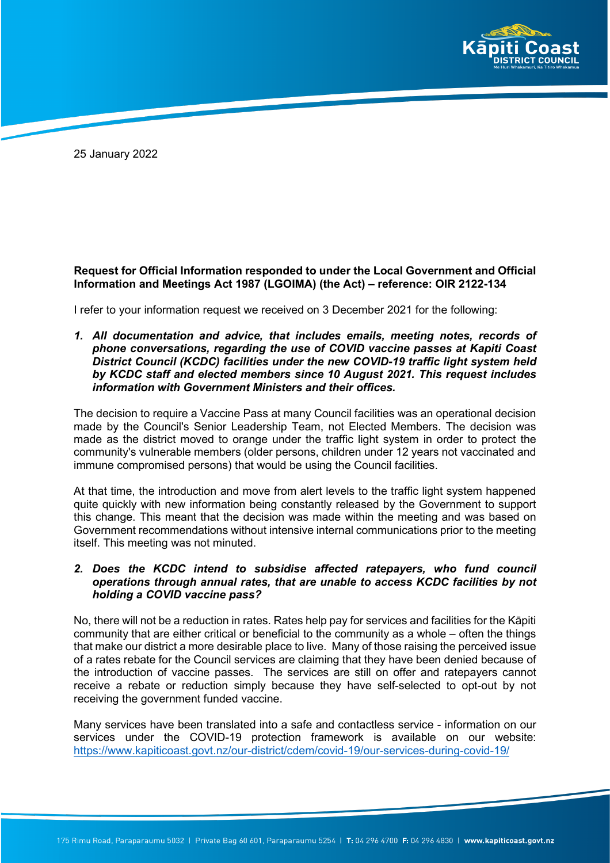

25 January 2022

# **Request for Official Information responded to under the Local Government and Official Information and Meetings Act 1987 (LGOIMA) (the Act) – reference: OIR 2122-134**

I refer to your information request we received on 3 December 2021 for the following:

*1. All documentation and advice, that includes emails, meeting notes, records of phone conversations, regarding the use of COVID vaccine passes at Kapiti Coast District Council (KCDC) facilities under the new COVID-19 traffic light system held by KCDC staff and elected members since 10 August 2021. This request includes information with Government Ministers and their offices.*

The decision to require a Vaccine Pass at many Council facilities was an operational decision made by the Council's Senior Leadership Team, not Elected Members. The decision was made as the district moved to orange under the traffic light system in order to protect the community's vulnerable members (older persons, children under 12 years not vaccinated and immune compromised persons) that would be using the Council facilities.

At that time, the introduction and move from alert levels to the traffic light system happened quite quickly with new information being constantly released by the Government to support this change. This meant that the decision was made within the meeting and was based on Government recommendations without intensive internal communications prior to the meeting itself. This meeting was not minuted.

## *2. Does the KCDC intend to subsidise affected ratepayers, who fund council operations through annual rates, that are unable to access KCDC facilities by not holding a COVID vaccine pass?*

No, there will not be a reduction in rates. Rates help pay for services and facilities for the Kāpiti community that are either critical or beneficial to the community as a whole – often the things that make our district a more desirable place to live. Many of those raising the perceived issue of a rates rebate for the Council services are claiming that they have been denied because of the introduction of vaccine passes. The services are still on offer and ratepayers cannot receive a rebate or reduction simply because they have self-selected to opt-out by not receiving the government funded vaccine.

Many services have been translated into a safe and contactless service - information on our services under the COVID-19 protection framework is available on our website: <https://www.kapiticoast.govt.nz/our-district/cdem/covid-19/our-services-during-covid-19/>